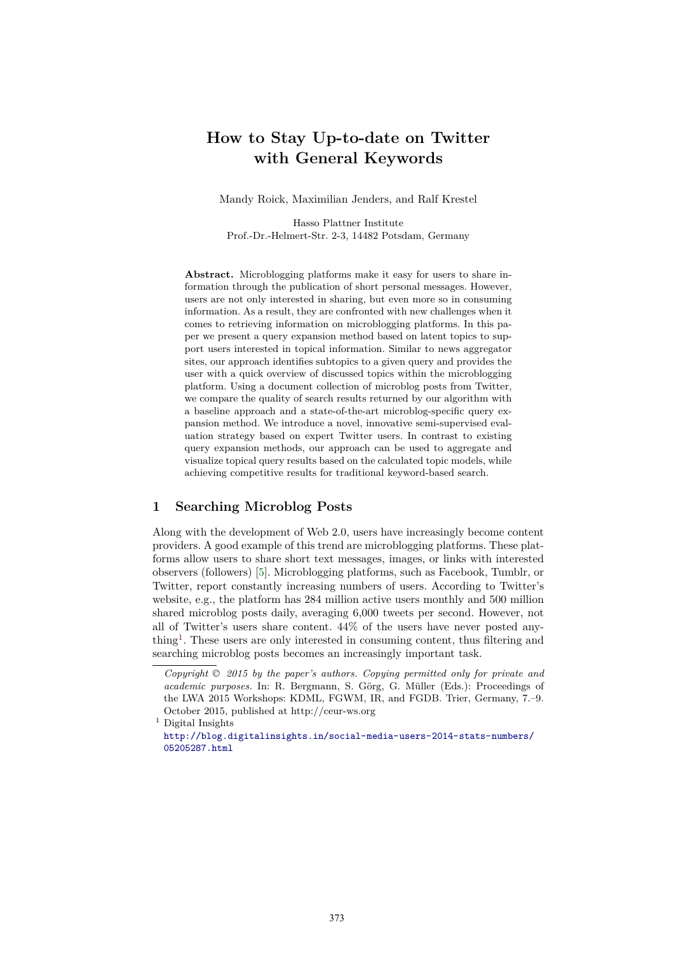# **How to Stay Up-to-date on Twitter with General Keywords**

Mandy Roick, Maximilian Jenders, and Ralf Krestel

Hasso Plattner Institute Prof.-Dr.-Helmert-Str. 2-3, 14482 Potsdam, Germany

**Abstract.** Microblogging platforms make it easy for users to share information through the publication of short personal messages. However, users are not only interested in sharing, but even more so in consuming information. As a result, they are confronted with new challenges when it comes to retrieving information on microblogging platforms. In this paper we present a query expansion method based on latent topics to support users interested in topical information. Similar to news aggregator sites, our approach identifies subtopics to a given query and provides the user with a quick overview of discussed topics within the microblogging platform. Using a document collection of microblog posts from Twitter, we compare the quality of search results returned by our algorithm with a baseline approach and a state-of-the-art microblog-specific query expansion method. We introduce a novel, innovative semi-supervised evaluation strategy based on expert Twitter users. In contrast to existing query expansion methods, our approach can be used to aggregate and visualize topical query results based on the calculated topic models, while achieving competitive results for traditional keyword-based search.

# **1 Searching Microblog Posts**

Along with the development of Web 2.0, users have increasingly become content providers. A good example of this trend are microblogging platforms. These platforms allow users to share short text messages, images, or links with interested observers (followers) [\[5\]](#page-7-0). Microblogging platforms, such as Facebook, Tumblr, or Twitter, report constantly increasing numbers of users. According to Twitter's website, e.g., the platform has 284 million active users monthly and 500 million shared microblog posts daily, averaging 6,000 tweets per second. However, not all of Twitter's users share content. 44% of the users have never posted any-thing<sup>[1](#page-0-0)</sup>. These users are only interested in consuming content, thus filtering and searching microblog posts becomes an increasingly important task.

*Copyright © 2015 by the paper's authors. Copying permitted only for private and academic purposes.* In: R. Bergmann, S. Görg, G. Müller (Eds.): Proceedings of the LWA 2015 Workshops: KDML, FGWM, IR, and FGDB. Trier, Germany, 7.–9. October 2015, published at http://ceur-ws.org

<span id="page-0-0"></span> $^{\rm 1}$  Digital Insights

[http://blog.digitalinsights.in/social-media-users-2014-stats-numbers/](http://blog.digitalinsights.in/social-media-users-2014-stats-numbers/05205287.html) [05205287.html](http://blog.digitalinsights.in/social-media-users-2014-stats-numbers/05205287.html)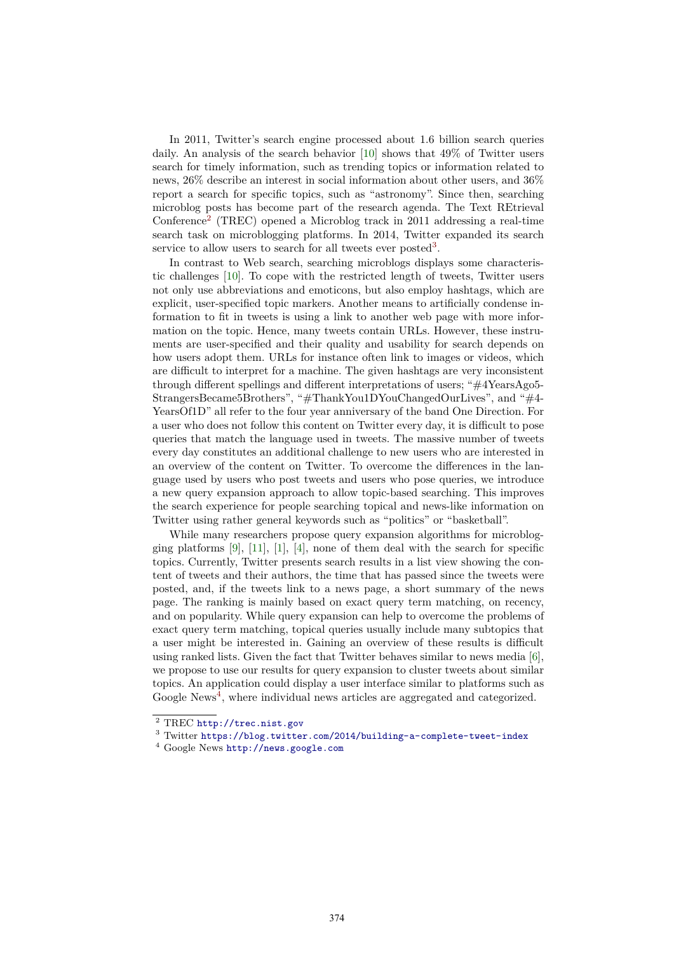In 2011, Twitter's search engine processed about 1.6 billion search queries daily. An analysis of the search behavior [\[10\]](#page-7-1) shows that 49% of Twitter users search for timely information, such as trending topics or information related to news, 26% describe an interest in social information about other users, and 36% report a search for specific topics, such as "astronomy". Since then, searching microblog posts has become part of the research agenda. The Text REtrieval Conference<sup>[2](#page-1-0)</sup> (TREC) opened a Microblog track in 2011 addressing a real-time search task on microblogging platforms. In 2014, Twitter expanded its search service to allow users to search for all tweets ever posted<sup>[3](#page-1-1)</sup>.

In contrast to Web search, searching microblogs displays some characteristic challenges [\[10\]](#page-7-1). To cope with the restricted length of tweets, Twitter users not only use abbreviations and emoticons, but also employ hashtags, which are explicit, user-specified topic markers. Another means to artificially condense information to fit in tweets is using a link to another web page with more information on the topic. Hence, many tweets contain URLs. However, these instruments are user-specified and their quality and usability for search depends on how users adopt them. URLs for instance often link to images or videos, which are difficult to interpret for a machine. The given hashtags are very inconsistent through different spellings and different interpretations of users; "#4YearsAgo5- StrangersBecame5Brothers", "#ThankYou1DYouChangedOurLives", and "#4- YearsOf1D" all refer to the four year anniversary of the band One Direction. For a user who does not follow this content on Twitter every day, it is difficult to pose queries that match the language used in tweets. The massive number of tweets every day constitutes an additional challenge to new users who are interested in an overview of the content on Twitter. To overcome the differences in the language used by users who post tweets and users who pose queries, we introduce a new query expansion approach to allow topic-based searching. This improves the search experience for people searching topical and news-like information on Twitter using rather general keywords such as "politics" or "basketball".

While many researchers propose query expansion algorithms for microblogging platforms  $[9]$ ,  $[11]$ ,  $[1]$ ,  $[4]$ , none of them deal with the search for specific topics. Currently, Twitter presents search results in a list view showing the content of tweets and their authors, the time that has passed since the tweets were posted, and, if the tweets link to a news page, a short summary of the news page. The ranking is mainly based on exact query term matching, on recency, and on popularity. While query expansion can help to overcome the problems of exact query term matching, topical queries usually include many subtopics that a user might be interested in. Gaining an overview of these results is difficult using ranked lists. Given the fact that Twitter behaves similar to news media [\[6\]](#page-7-6), we propose to use our results for query expansion to cluster tweets about similar topics. An application could display a user interface similar to platforms such as Google News<sup>[4](#page-1-2)</sup>, where individual news articles are aggregated and categorized.

<span id="page-1-0"></span><sup>&</sup>lt;sup>2</sup> TREC <http://trec.nist.gov>

<span id="page-1-1"></span><sup>3</sup> Twitter <https://blog.twitter.com/2014/building-a-complete-tweet-index>

<span id="page-1-2"></span><sup>4</sup> Google News <http://news.google.com>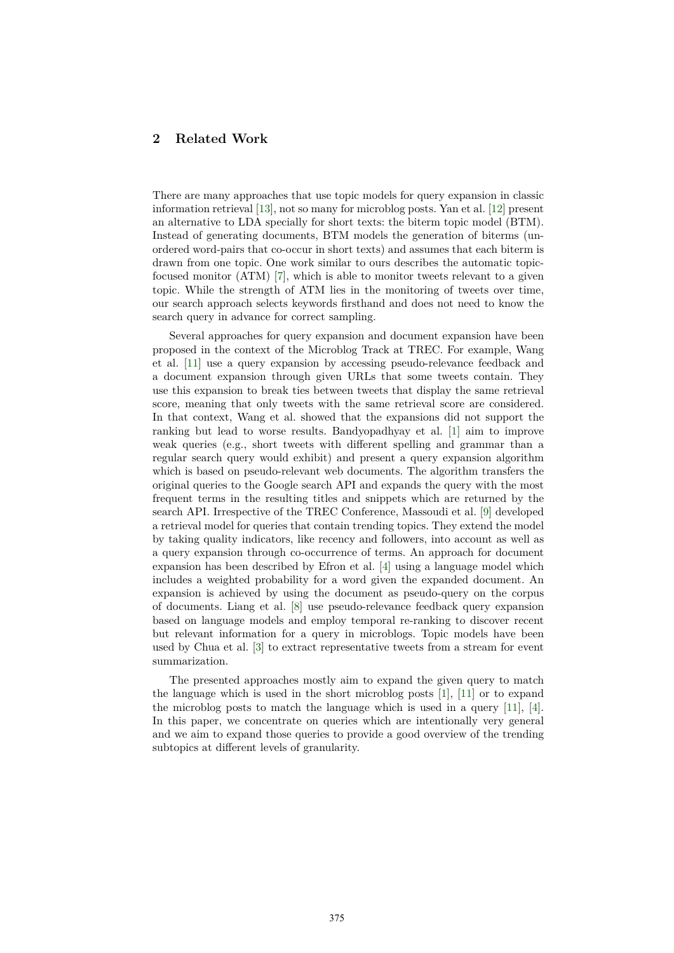### **2 Related Work**

There are many approaches that use topic models for query expansion in classic information retrieval [\[13\]](#page-8-0), not so many for microblog posts. Yan et al. [\[12\]](#page-8-1) present an alternative to LDA specially for short texts: the biterm topic model (BTM). Instead of generating documents, BTM models the generation of biterms (unordered word-pairs that co-occur in short texts) and assumes that each biterm is drawn from one topic. One work similar to ours describes the automatic topicfocused monitor (ATM) [\[7\]](#page-7-7), which is able to monitor tweets relevant to a given topic. While the strength of ATM lies in the monitoring of tweets over time, our search approach selects keywords firsthand and does not need to know the search query in advance for correct sampling.

Several approaches for query expansion and document expansion have been proposed in the context of the Microblog Track at TREC. For example, Wang et al. [\[11\]](#page-7-3) use a query expansion by accessing pseudo-relevance feedback and a document expansion through given URLs that some tweets contain. They use this expansion to break ties between tweets that display the same retrieval score, meaning that only tweets with the same retrieval score are considered. In that context, Wang et al. showed that the expansions did not support the ranking but lead to worse results. Bandyopadhyay et al. [\[1\]](#page-7-4) aim to improve weak queries (e.g., short tweets with different spelling and grammar than a regular search query would exhibit) and present a query expansion algorithm which is based on pseudo-relevant web documents. The algorithm transfers the original queries to the Google search API and expands the query with the most frequent terms in the resulting titles and snippets which are returned by the search API. Irrespective of the TREC Conference, Massoudi et al. [\[9\]](#page-7-2) developed a retrieval model for queries that contain trending topics. They extend the model by taking quality indicators, like recency and followers, into account as well as a query expansion through co-occurrence of terms. An approach for document expansion has been described by Efron et al. [\[4\]](#page-7-5) using a language model which includes a weighted probability for a word given the expanded document. An expansion is achieved by using the document as pseudo-query on the corpus of documents. Liang et al. [\[8\]](#page-7-8) use pseudo-relevance feedback query expansion based on language models and employ temporal re-ranking to discover recent but relevant information for a query in microblogs. Topic models have been used by Chua et al. [\[3\]](#page-7-9) to extract representative tweets from a stream for event summarization.

The presented approaches mostly aim to expand the given query to match the language which is used in the short microblog posts [\[1\]](#page-7-4), [\[11\]](#page-7-3) or to expand the microblog posts to match the language which is used in a query  $[11]$ ,  $[4]$ . In this paper, we concentrate on queries which are intentionally very general and we aim to expand those queries to provide a good overview of the trending subtopics at different levels of granularity.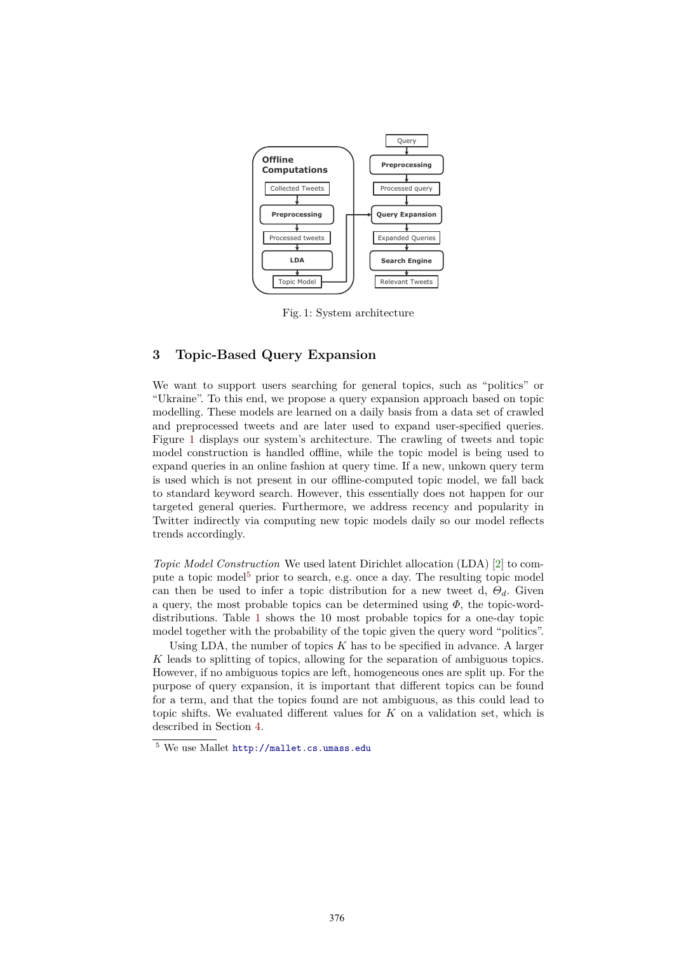<span id="page-3-0"></span>

Fig. 1: System architecture

## **3 Topic-Based Query Expansion**

We want to support users searching for general topics, such as "politics" or "Ukraine". To this end, we propose a query expansion approach based on topic modelling. These models are learned on a daily basis from a data set of crawled and preprocessed tweets and are later used to expand user-specified queries. Figure [1](#page-3-0) displays our system's architecture. The crawling of tweets and topic model construction is handled offline, while the topic model is being used to expand queries in an online fashion at query time. If a new, unkown query term is used which is not present in our offline-computed topic model, we fall back to standard keyword search. However, this essentially does not happen for our targeted general queries. Furthermore, we address recency and popularity in Twitter indirectly via computing new topic models daily so our model reflects trends accordingly.

*Topic Model Construction* We used latent Dirichlet allocation (LDA) [\[2\]](#page-7-10) to com-pute a topic model<sup>[5](#page-3-1)</sup> prior to search, e.g. once a day. The resulting topic model can then be used to infer a topic distribution for a new tweet d,  $\Theta_d$ . Given a query, the most probable topics can be determined using *Φ*, the topic-worddistributions. Table [1](#page-4-0) shows the 10 most probable topics for a one-day topic model together with the probability of the topic given the query word "politics".

Using LDA, the number of topics  $K$  has to be specified in advance. A larger *K* leads to splitting of topics, allowing for the separation of ambiguous topics. However, if no ambiguous topics are left, homogeneous ones are split up. For the purpose of query expansion, it is important that different topics can be found for a term, and that the topics found are not ambiguous, as this could lead to topic shifts. We evaluated different values for *K* on a validation set, which is described in Section [4.](#page-4-1)

<span id="page-3-1"></span><sup>5</sup> We use Mallet <http://mallet.cs.umass.edu>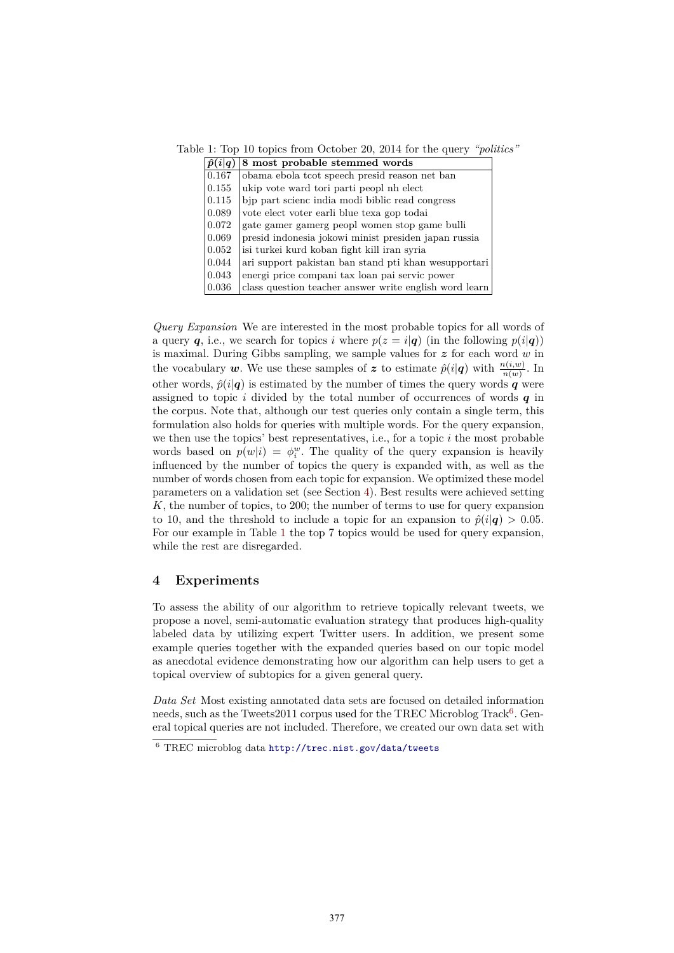<span id="page-4-0"></span>Table 1: Top 10 topics from October 20, 2014 for the query *"politics"*

| $\hat{p}(i q)$     | 8 most probable stemmed words                          |
|--------------------|--------------------------------------------------------|
| $\overline{0.167}$ | obama ebola tcot speech presid reason net ban          |
| 0.155              | ukip vote ward tori parti peopl nh elect               |
| 0.115              | bip part scienc india modi biblic read congress        |
| 0.089              | vote elect voter earli blue texa gop todai             |
| 0.072              | gate gamer gamerg peopl women stop game bulli          |
| 0.069              | presid indonesia jokowi minist presiden japan russia   |
| 0.052              | isi turkei kurd koban fight kill iran syria            |
| 0.044              | ari support pakistan ban stand pti khan wesupportari   |
| 0.043              | energi price compani tax loan pai servic power         |
| 0.036              | class question teacher answer write english word learn |

*Query Expansion* We are interested in the most probable topics for all words of a query *q*, i.e., we search for topics *i* where  $p(z = i|\boldsymbol{q})$  (in the following  $p(i|\boldsymbol{q})$ ) is maximal. During Gibbs sampling, we sample values for *z* for each word *w* in the vocabulary *w*. We use these samples of *z* to estimate  $\hat{p}(i|\mathbf{q})$  with  $\frac{n(i,w)}{n(w)}$ . In other words,  $\hat{p}(i|\mathbf{q})$  is estimated by the number of times the query words  $\mathbf{\hat{q}}$  were assigned to topic  $i$  divided by the total number of occurrences of words  $q$  in the corpus. Note that, although our test queries only contain a single term, this formulation also holds for queries with multiple words. For the query expansion, we then use the topics' best representatives, i.e., for a topic *i* the most probable words based on  $p(w|i) = \phi_i^w$ . The quality of the query expansion is heavily influenced by the number of topics the query is expanded with, as well as the number of words chosen from each topic for expansion. We optimized these model parameters on a validation set (see Section [4\)](#page-4-1). Best results were achieved setting *K*, the number of topics, to 200; the number of terms to use for query expansion to 10, and the threshold to include a topic for an expansion to  $\hat{p}(i|\mathbf{q}) > 0.05$ . For our example in Table [1](#page-4-0) the top 7 topics would be used for query expansion, while the rest are disregarded.

## <span id="page-4-1"></span>**4 Experiments**

To assess the ability of our algorithm to retrieve topically relevant tweets, we propose a novel, semi-automatic evaluation strategy that produces high-quality labeled data by utilizing expert Twitter users. In addition, we present some example queries together with the expanded queries based on our topic model as anecdotal evidence demonstrating how our algorithm can help users to get a topical overview of subtopics for a given general query.

*Data Set* Most existing annotated data sets are focused on detailed information needs, such as the Tweets2011 corpus used for the TREC Microblog Track<sup>[6](#page-4-2)</sup>. General topical queries are not included. Therefore, we created our own data set with

<span id="page-4-2"></span> $6$  TREC microblog data <http://trec.nist.gov/data/tweets>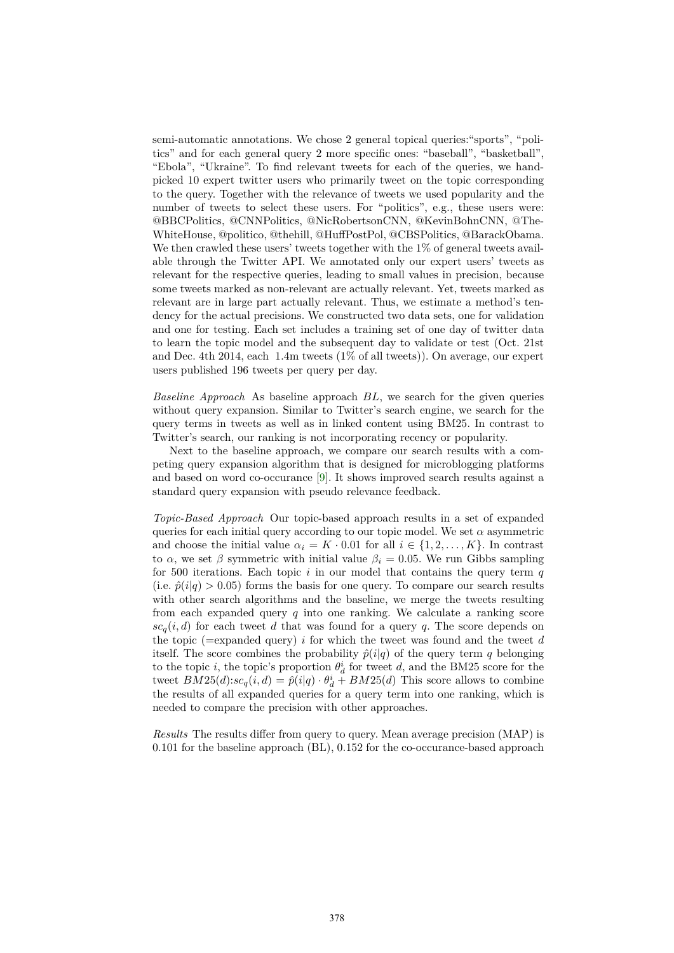semi-automatic annotations. We chose 2 general topical queries:"sports", "politics" and for each general query 2 more specific ones: "baseball", "basketball", "Ebola", "Ukraine". To find relevant tweets for each of the queries, we handpicked 10 expert twitter users who primarily tweet on the topic corresponding to the query. Together with the relevance of tweets we used popularity and the number of tweets to select these users. For "politics", e.g., these users were: @BBCPolitics, @CNNPolitics, @NicRobertsonCNN, @KevinBohnCNN, @The-WhiteHouse, @politico, @thehill, @HuffPostPol, @CBSPolitics, @BarackObama. We then crawled these users' tweets together with the  $1\%$  of general tweets available through the Twitter API. We annotated only our expert users' tweets as relevant for the respective queries, leading to small values in precision, because some tweets marked as non-relevant are actually relevant. Yet, tweets marked as relevant are in large part actually relevant. Thus, we estimate a method's tendency for the actual precisions. We constructed two data sets, one for validation and one for testing. Each set includes a training set of one day of twitter data to learn the topic model and the subsequent day to validate or test (Oct. 21st and Dec. 4th 2014, each 1.4m tweets (1% of all tweets)). On average, our expert users published 196 tweets per query per day.

*Baseline Approach* As baseline approach *BL*, we search for the given queries without query expansion. Similar to Twitter's search engine, we search for the query terms in tweets as well as in linked content using BM25. In contrast to Twitter's search, our ranking is not incorporating recency or popularity.

Next to the baseline approach, we compare our search results with a competing query expansion algorithm that is designed for microblogging platforms and based on word co-occurance [\[9\]](#page-7-2). It shows improved search results against a standard query expansion with pseudo relevance feedback.

*Topic-Based Approach* Our topic-based approach results in a set of expanded queries for each initial query according to our topic model. We set *α* asymmetric and choose the initial value  $\alpha_i = K \cdot 0.01$  for all  $i \in \{1, 2, \ldots, K\}$ . In contrast to *α*, we set *β* symmetric with initial value *β<sup>i</sup>* = 0*.*05. We run Gibbs sampling for 500 iterations. Each topic *i* in our model that contains the query term *q* (i.e.  $\hat{p}(i|q) > 0.05$ ) forms the basis for one query. To compare our search results with other search algorithms and the baseline, we merge the tweets resulting from each expanded query *q* into one ranking. We calculate a ranking score  $sc_q(i, d)$  for each tweet *d* that was found for a query *q*. The score depends on the topic ( $=$ expanded query) *i* for which the tweet was found and the tweet *d* itself. The score combines the probability  $\hat{p}(i|q)$  of the query term *q* belonging to the topic *i*, the topic's proportion  $\theta_d^i$  for tweet *d*, and the BM25 score for the tweet  $BM25(d):$  $sc_q(i, d) = \hat{p}(i|q) \cdot \theta_d^i + BM25(d)$  This score allows to combine the results of all expanded queries for a query term into one ranking, which is needed to compare the precision with other approaches.

*Results* The results differ from query to query. Mean average precision (MAP) is 0*.*101 for the baseline approach (BL), 0*.*152 for the co-occurance-based approach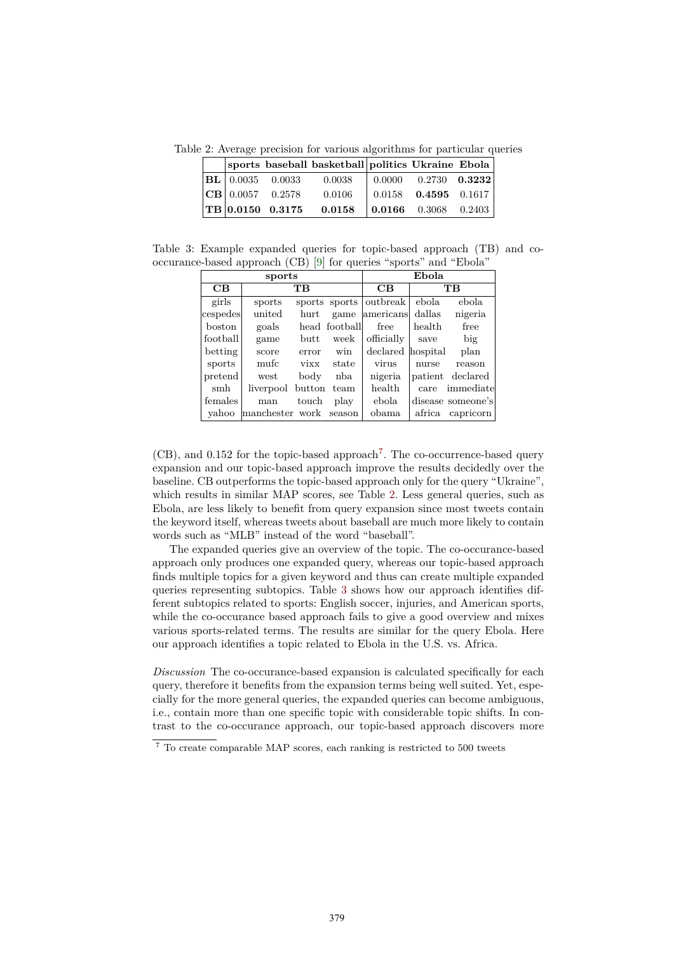<span id="page-6-1"></span>Table 2: Average precision for various algorithms for particular queries

|  |                                  | sports baseball basketball politics Ukraine Ebola |                                                |  |
|--|----------------------------------|---------------------------------------------------|------------------------------------------------|--|
|  |                                  | $ \mathbf{BL}  0.0035 0.0033 0.0038$              | $\vert 0.0000 \vert 0.2730 \vert 0.3232 \vert$ |  |
|  | $ {\bf C}{\bf B} $ 0.0057 0.2578 | 0.0106                                            | $\vert 0.0158 \quad 0.4595 \quad 0.1617 \vert$ |  |
|  |                                  | $\rm  TB 0.0150$ 0.3175 0.0158                    | $\vert$ 0.0166 0.3068 0.2403 $\vert$           |  |

<span id="page-6-2"></span>Table 3: Example expanded queries for topic-based approach (TB) and cooccurance-based approach (CB) [\[9\]](#page-7-2) for queries "sports" and "Ebola"

| sports                 |                  |       |                        | Ebola                  |        |                   |
|------------------------|------------------|-------|------------------------|------------------------|--------|-------------------|
| $\overline{\text{CB}}$ | TВ               |       | $\overline{\text{CB}}$ | TВ                     |        |                   |
| girls                  | sports           |       |                        | sports sports outbreak | ebola  | ebola             |
| cespedes               | united           | hurt  |                        | game americans         | dallas | nigeria           |
| boston                 | goals            |       | head football          | free                   | health | free              |
| football               | game             | butt  | week                   | officially             | save   | big               |
| betting                | score            | error | win                    | declared hospital      |        | plan              |
| sports                 | mufc             | vixx  | state                  | virus                  | nurse  | reason            |
| pretend                | west             | body  | nba                    | nigeria                |        | patient declared  |
| smh                    | liverpool button |       | team                   | health                 | care   | immediate         |
| females                | man              | touch | play                   | ebola                  |        | disease someone's |
| vahoo                  | manchester work  |       | season                 | obama                  | africa | capricorn         |

(CB), and 0.152 for the topic-based approach<sup>[7](#page-6-0)</sup>. The co-occurrence-based query expansion and our topic-based approach improve the results decidedly over the baseline. CB outperforms the topic-based approach only for the query "Ukraine", which results in similar MAP scores, see Table [2.](#page-6-1) Less general queries, such as Ebola, are less likely to benefit from query expansion since most tweets contain the keyword itself, whereas tweets about baseball are much more likely to contain words such as "MLB" instead of the word "baseball".

The expanded queries give an overview of the topic. The co-occurance-based approach only produces one expanded query, whereas our topic-based approach finds multiple topics for a given keyword and thus can create multiple expanded queries representing subtopics. Table [3](#page-6-2) shows how our approach identifies different subtopics related to sports: English soccer, injuries, and American sports, while the co-occurance based approach fails to give a good overview and mixes various sports-related terms. The results are similar for the query Ebola. Here our approach identifies a topic related to Ebola in the U.S. vs. Africa.

*Discussion* The co-occurance-based expansion is calculated specifically for each query, therefore it benefits from the expansion terms being well suited. Yet, especially for the more general queries, the expanded queries can become ambiguous, i.e., contain more than one specific topic with considerable topic shifts. In contrast to the co-occurance approach, our topic-based approach discovers more

<span id="page-6-0"></span><sup>7</sup> To create comparable MAP scores, each ranking is restricted to 500 tweets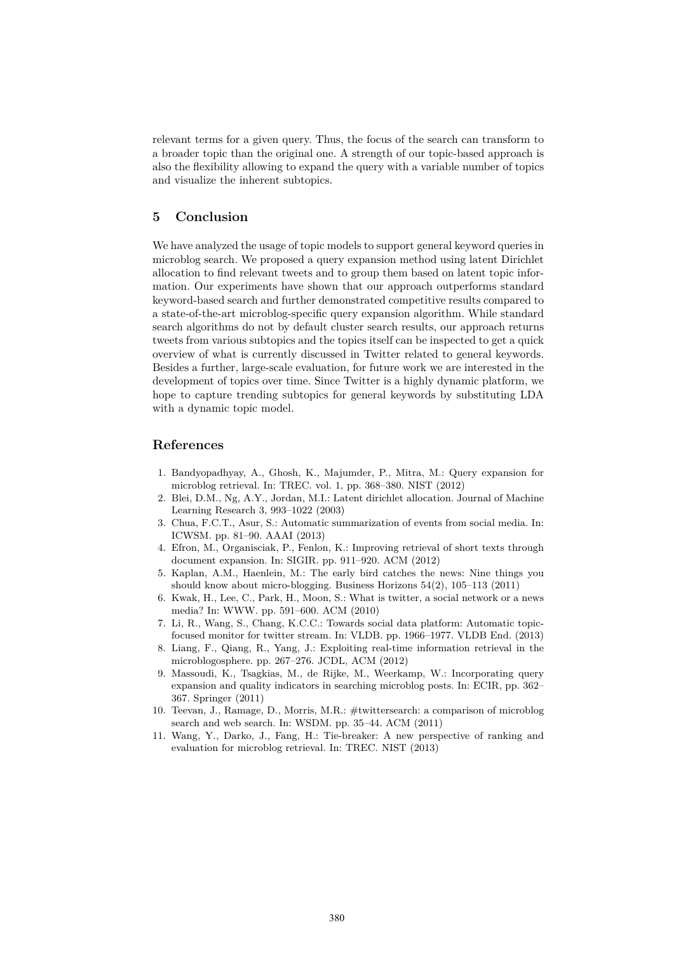relevant terms for a given query. Thus, the focus of the search can transform to a broader topic than the original one. A strength of our topic-based approach is also the flexibility allowing to expand the query with a variable number of topics and visualize the inherent subtopics.

# **5 Conclusion**

We have analyzed the usage of topic models to support general keyword queries in microblog search. We proposed a query expansion method using latent Dirichlet allocation to find relevant tweets and to group them based on latent topic information. Our experiments have shown that our approach outperforms standard keyword-based search and further demonstrated competitive results compared to a state-of-the-art microblog-specific query expansion algorithm. While standard search algorithms do not by default cluster search results, our approach returns tweets from various subtopics and the topics itself can be inspected to get a quick overview of what is currently discussed in Twitter related to general keywords. Besides a further, large-scale evaluation, for future work we are interested in the development of topics over time. Since Twitter is a highly dynamic platform, we hope to capture trending subtopics for general keywords by substituting LDA with a dynamic topic model.

## **References**

- <span id="page-7-4"></span>1. Bandyopadhyay, A., Ghosh, K., Majumder, P., Mitra, M.: Query expansion for microblog retrieval. In: TREC. vol. 1, pp. 368–380. NIST (2012)
- <span id="page-7-10"></span>2. Blei, D.M., Ng, A.Y., Jordan, M.I.: Latent dirichlet allocation. Journal of Machine Learning Research 3, 993–1022 (2003)
- <span id="page-7-9"></span>3. Chua, F.C.T., Asur, S.: Automatic summarization of events from social media. In: ICWSM. pp. 81–90. AAAI (2013)
- <span id="page-7-5"></span>4. Efron, M., Organisciak, P., Fenlon, K.: Improving retrieval of short texts through document expansion. In: SIGIR. pp. 911–920. ACM (2012)
- <span id="page-7-0"></span>5. Kaplan, A.M., Haenlein, M.: The early bird catches the news: Nine things you should know about micro-blogging. Business Horizons 54(2), 105–113 (2011)
- <span id="page-7-6"></span>6. Kwak, H., Lee, C., Park, H., Moon, S.: What is twitter, a social network or a news media? In: WWW. pp. 591–600. ACM (2010)
- <span id="page-7-7"></span>7. Li, R., Wang, S., Chang, K.C.C.: Towards social data platform: Automatic topicfocused monitor for twitter stream. In: VLDB. pp. 1966–1977. VLDB End. (2013)
- <span id="page-7-8"></span>8. Liang, F., Qiang, R., Yang, J.: Exploiting real-time information retrieval in the microblogosphere. pp. 267–276. JCDL, ACM (2012)
- <span id="page-7-2"></span>9. Massoudi, K., Tsagkias, M., de Rijke, M., Weerkamp, W.: Incorporating query expansion and quality indicators in searching microblog posts. In: ECIR, pp. 362– 367. Springer (2011)
- <span id="page-7-1"></span>10. Teevan, J., Ramage, D., Morris, M.R.: #twittersearch: a comparison of microblog search and web search. In: WSDM. pp. 35–44. ACM (2011)
- <span id="page-7-3"></span>11. Wang, Y., Darko, J., Fang, H.: Tie-breaker: A new perspective of ranking and evaluation for microblog retrieval. In: TREC. NIST (2013)